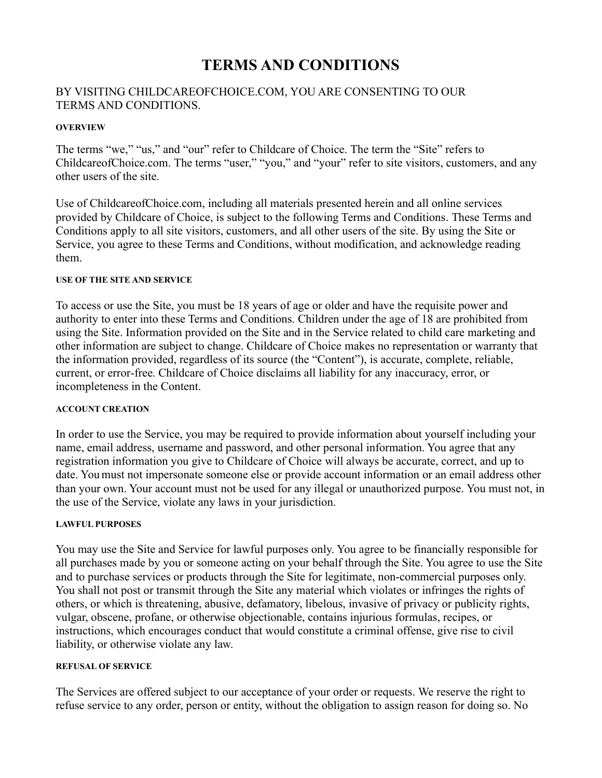# **TERMS AND CONDITIONS**

# BY VISITING CHILDCAREOFCHOICE.COM, YOU ARE CONSENTING TO OUR TERMS AND CONDITIONS.

## **OVERVIEW**

The terms "we," "us," and "our" refer to Childcare of Choice. The term the "Site" refers to ChildcareofChoice.com. The terms "user," "you," and "your" refer to site visitors, customers, and any other users of the site.

Use of ChildcareofChoice.com, including all materials presented herein and all online services provided by Childcare of Choice, is subject to the following Terms and Conditions. These Terms and Conditions apply to all site visitors, customers, and all other users of the site. By using the Site or Service, you agree to these Terms and Conditions, without modification, and acknowledge reading them.

## **USE OF THE SITE AND SERVICE**

To access or use the Site, you must be 18 years of age or older and have the requisite power and authority to enter into these Terms and Conditions. Children under the age of 18 are prohibited from using the Site. Information provided on the Site and in the Service related to child care marketing and other information are subject to change. Childcare of Choice makes no representation or warranty that the information provided, regardless of its source (the "Content"), is accurate, complete, reliable, current, or error-free. Childcare of Choice disclaims all liability for any inaccuracy, error, or incompleteness in the Content.

## **ACCOUNT CREATION**

In order to use the Service, you may be required to provide information about yourself including your name, email address, username and password, and other personal information. You agree that any registration information you give to Childcare of Choice will always be accurate, correct, and up to date. You must not impersonate someone else or provide account information or an email address other than your own. Your account must not be used for any illegal or unauthorized purpose. You must not, in the use of the Service, violate any laws in your jurisdiction.

## **LAWFUL PURPOSES**

You may use the Site and Service for lawful purposes only. You agree to be financially responsible for all purchases made by you or someone acting on your behalf through the Site. You agree to use the Site and to purchase services or products through the Site for legitimate, non-commercial purposes only. You shall not post or transmit through the Site any material which violates or infringes the rights of others, or which is threatening, abusive, defamatory, libelous, invasive of privacy or publicity rights, vulgar, obscene, profane, or otherwise objectionable, contains injurious formulas, recipes, or instructions, which encourages conduct that would constitute a criminal offense, give rise to civil liability, or otherwise violate any law.

## **REFUSAL OF SERVICE**

The Services are offered subject to our acceptance of your order or requests. We reserve the right to refuse service to any order, person or entity, without the obligation to assign reason for doing so. No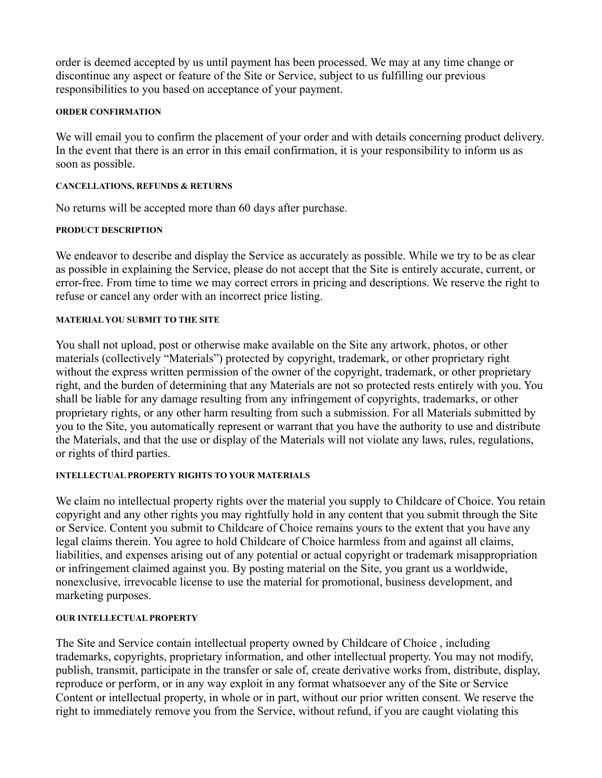order is deemed accepted by us until payment has been processed. We may at any time change or discontinue any aspect or feature of the Site or Service, subject to us fulfilling our previous responsibilities to you based on acceptance of your payment.

## **ORDER CONFIRMATION**

We will email you to confirm the placement of your order and with details concerning product delivery. In the event that there is an error in this email confirmation, it is your responsibility to inform us as soon as possible.

# **CANCELLATIONS, REFUNDS & RETURNS**

No returns will be accepted more than 60 days after purchase.

## **PRODUCT DESCRIPTION**

We endeavor to describe and display the Service as accurately as possible. While we try to be as clear as possible in explaining the Service, please do not accept that the Site is entirely accurate, current, or error-free. From time to time we may correct errors in pricing and descriptions. We reserve the right to refuse or cancel any order with an incorrect price listing.

## **MATERIAL YOU SUBMIT TO THE SITE**

You shall not upload, post or otherwise make available on the Site any artwork, photos, or other materials (collectively "Materials") protected by copyright, trademark, or other proprietary right without the express written permission of the owner of the copyright, trademark, or other proprietary right, and the burden of determining that any Materials are not so protected rests entirely with you. You shall be liable for any damage resulting from any infringement of copyrights, trademarks, or other proprietary rights, or any other harm resulting from such a submission. For all Materials submitted by you to the Site, you automatically represent or warrant that you have the authority to use and distribute the Materials, and that the use or display of the Materials will not violate any laws, rules, regulations, or rights of third parties.

## **INTELLECTUAL PROPERTY RIGHTS TO YOUR MATERIALS**

We claim no intellectual property rights over the material you supply to Childcare of Choice. You retain copyright and any other rights you may rightfully hold in any content that you submit through the Site or Service. Content you submit to Childcare of Choice remains yours to the extent that you have any legal claims therein. You agree to hold Childcare of Choice harmless from and against all claims, liabilities, and expenses arising out of any potential or actual copyright or trademark misappropriation or infringement claimed against you. By posting material on the Site, you grant us a worldwide, nonexclusive, irrevocable license to use the material for promotional, business development, and marketing purposes.

## **OUR INTELLECTUAL PROPERTY**

The Site and Service contain intellectual property owned by Childcare of Choice , including trademarks, copyrights, proprietary information, and other intellectual property. You may not modify, publish, transmit, participate in the transfer or sale of, create derivative works from, distribute, display, reproduce or perform, or in any way exploit in any format whatsoever any of the Site or Service Content or intellectual property, in whole or in part, without our prior written consent. We reserve the right to immediately remove you from the Service, without refund, if you are caught violating this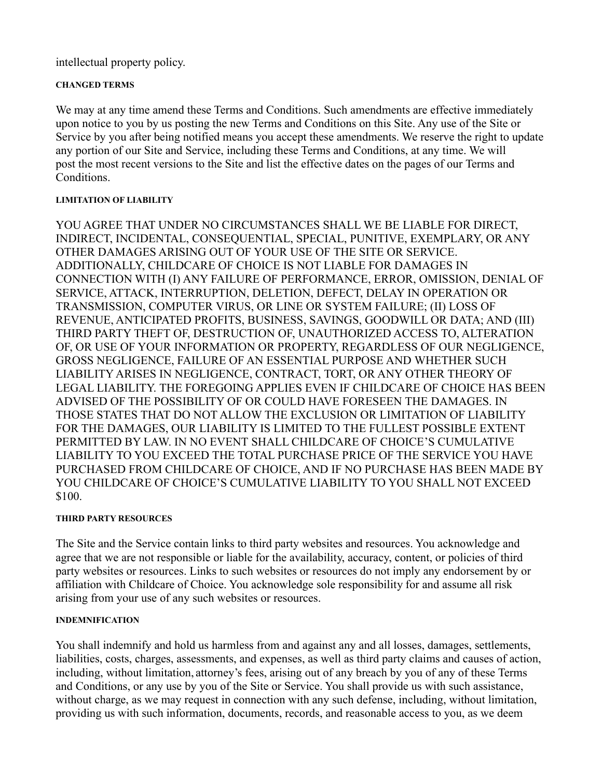intellectual property policy.

# **CHANGED TERMS**

We may at any time amend these Terms and Conditions. Such amendments are effective immediately upon notice to you by us posting the new Terms and Conditions on this Site. Any use of the Site or Service by you after being notified means you accept these amendments. We reserve the right to update any portion of our Site and Service, including these Terms and Conditions, at any time. We will post the most recent versions to the Site and list the effective dates on the pages of our Terms and Conditions.

# **LIMITATION OF LIABILITY**

YOU AGREE THAT UNDER NO CIRCUMSTANCES SHALL WE BE LIABLE FOR DIRECT, INDIRECT, INCIDENTAL, CONSEQUENTIAL, SPECIAL, PUNITIVE, EXEMPLARY, OR ANY OTHER DAMAGES ARISING OUT OF YOUR USE OF THE SITE OR SERVICE. ADDITIONALLY, CHILDCARE OF CHOICE IS NOT LIABLE FOR DAMAGES IN CONNECTION WITH (I) ANY FAILURE OF PERFORMANCE, ERROR, OMISSION, DENIAL OF SERVICE, ATTACK, INTERRUPTION, DELETION, DEFECT, DELAY IN OPERATION OR TRANSMISSION, COMPUTER VIRUS, OR LINE OR SYSTEM FAILURE; (II) LOSS OF REVENUE, ANTICIPATED PROFITS, BUSINESS, SAVINGS, GOODWILL OR DATA; AND (III) THIRD PARTY THEFT OF, DESTRUCTION OF, UNAUTHORIZED ACCESS TO, ALTERATION OF, OR USE OF YOUR INFORMATION OR PROPERTY, REGARDLESS OF OUR NEGLIGENCE, GROSS NEGLIGENCE, FAILURE OF AN ESSENTIAL PURPOSE AND WHETHER SUCH LIABILITY ARISES IN NEGLIGENCE, CONTRACT, TORT, OR ANY OTHER THEORY OF LEGAL LIABILITY. THE FOREGOING APPLIES EVEN IF CHILDCARE OF CHOICE HAS BEEN ADVISED OF THE POSSIBILITY OF OR COULD HAVE FORESEEN THE DAMAGES. IN THOSE STATES THAT DO NOT ALLOW THE EXCLUSION OR LIMITATION OF LIABILITY FOR THE DAMAGES, OUR LIABILITY IS LIMITED TO THE FULLEST POSSIBLE EXTENT PERMITTED BY LAW. IN NO EVENT SHALL CHILDCARE OF CHOICE'S CUMULATIVE LIABILITY TO YOU EXCEED THE TOTAL PURCHASE PRICE OF THE SERVICE YOU HAVE PURCHASED FROM CHILDCARE OF CHOICE, AND IF NO PURCHASE HAS BEEN MADE BY YOU CHILDCARE OF CHOICE'S CUMULATIVE LIABILITY TO YOU SHALL NOT EXCEED \$100.

# **THIRD PARTY RESOURCES**

The Site and the Service contain links to third party websites and resources. You acknowledge and agree that we are not responsible or liable for the availability, accuracy, content, or policies of third party websites or resources. Links to such websites or resources do not imply any endorsement by or affiliation with Childcare of Choice. You acknowledge sole responsibility for and assume all risk arising from your use of any such websites or resources.

# **INDEMNIFICATION**

You shall indemnify and hold us harmless from and against any and all losses, damages, settlements, liabilities, costs, charges, assessments, and expenses, as well as third party claims and causes of action, including, without limitation, attorney's fees, arising out of any breach by you of any of these Terms and Conditions, or any use by you of the Site or Service. You shall provide us with such assistance, without charge, as we may request in connection with any such defense, including, without limitation, providing us with such information, documents, records, and reasonable access to you, as we deem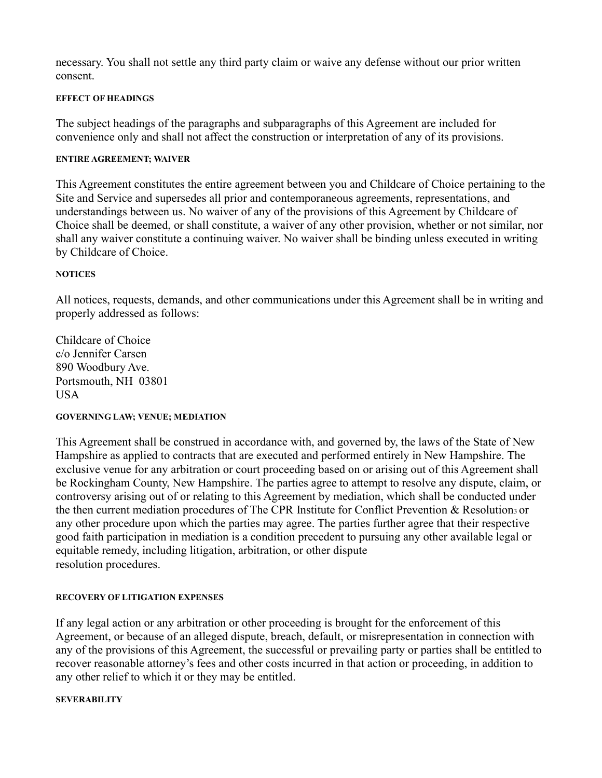necessary. You shall not settle any third party claim or waive any defense without our prior written consent.

# **EFFECT OF HEADINGS**

The subject headings of the paragraphs and subparagraphs of this Agreement are included for convenience only and shall not affect the construction or interpretation of any of its provisions.

# **ENTIRE AGREEMENT; WAIVER**

This Agreement constitutes the entire agreement between you and Childcare of Choice pertaining to the Site and Service and supersedes all prior and contemporaneous agreements, representations, and understandings between us. No waiver of any of the provisions of this Agreement by Childcare of Choice shall be deemed, or shall constitute, a waiver of any other provision, whether or not similar, nor shall any waiver constitute a continuing waiver. No waiver shall be binding unless executed in writing by Childcare of Choice.

## **NOTICES**

All notices, requests, demands, and other communications under this Agreement shall be in writing and properly addressed as follows:

Childcare of Choice c/o Jennifer Carsen 890 Woodbury Ave. Portsmouth, NH 03801 USA

## **GOVERNING LAW; VENUE; MEDIATION**

This Agreement shall be construed in accordance with, and governed by, the laws of the State of New Hampshire as applied to contracts that are executed and performed entirely in New Hampshire. The exclusive venue for any arbitration or court proceeding based on or arising out of this Agreement shall be Rockingham County, New Hampshire. The parties agree to attempt to resolve any dispute, claim, or controversy arising out of or relating to this Agreement by mediation, which shall be conducted under the then current mediation procedures of The CPR Institute for Conflict Prevention & Resolution3 or any other procedure upon which the parties may agree. The parties further agree that their respective good faith participation in mediation is a condition precedent to pursuing any other available legal or equitable remedy, including litigation, arbitration, or other dispute resolution procedures.

## **RECOVERY OF LITIGATION EXPENSES**

If any legal action or any arbitration or other proceeding is brought for the enforcement of this Agreement, or because of an alleged dispute, breach, default, or misrepresentation in connection with any of the provisions of this Agreement, the successful or prevailing party or parties shall be entitled to recover reasonable attorney's fees and other costs incurred in that action or proceeding, in addition to any other relief to which it or they may be entitled.

## **SEVERABILITY**